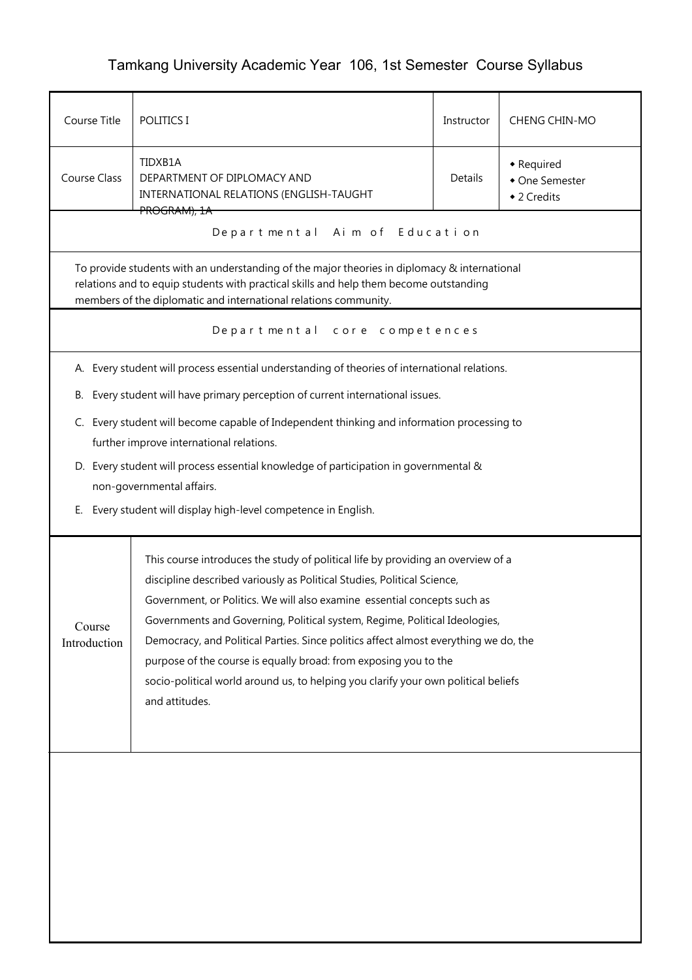## Tamkang University Academic Year 106, 1st Semester Course Syllabus

| Course Title           | POLITICS I                                                                                                                                                                                                                                                 | Instructor | <b>CHENG CHIN-MO</b>                        |  |  |  |
|------------------------|------------------------------------------------------------------------------------------------------------------------------------------------------------------------------------------------------------------------------------------------------------|------------|---------------------------------------------|--|--|--|
| <b>Course Class</b>    | TIDXB1A<br>DEPARTMENT OF DIPLOMACY AND<br>INTERNATIONAL RELATIONS (ENGLISH-TAUGHT                                                                                                                                                                          | Details    | • Required<br>• One Semester<br>◆ 2 Credits |  |  |  |
|                        | <del>PROGRAM), 1A</del><br>Departmental Aim of Education                                                                                                                                                                                                   |            |                                             |  |  |  |
|                        | To provide students with an understanding of the major theories in diplomacy & international<br>relations and to equip students with practical skills and help them become outstanding<br>members of the diplomatic and international relations community. |            |                                             |  |  |  |
|                        | Departmental core competences                                                                                                                                                                                                                              |            |                                             |  |  |  |
|                        | A. Every student will process essential understanding of theories of international relations.                                                                                                                                                              |            |                                             |  |  |  |
| В.                     | Every student will have primary perception of current international issues.                                                                                                                                                                                |            |                                             |  |  |  |
|                        | C. Every student will become capable of Independent thinking and information processing to<br>further improve international relations.                                                                                                                     |            |                                             |  |  |  |
|                        | D. Every student will process essential knowledge of participation in governmental &                                                                                                                                                                       |            |                                             |  |  |  |
| Е.                     | non-governmental affairs.<br>Every student will display high-level competence in English.                                                                                                                                                                  |            |                                             |  |  |  |
|                        |                                                                                                                                                                                                                                                            |            |                                             |  |  |  |
|                        | This course introduces the study of political life by providing an overview of a                                                                                                                                                                           |            |                                             |  |  |  |
|                        | discipline described variously as Political Studies, Political Science,                                                                                                                                                                                    |            |                                             |  |  |  |
|                        | Government, or Politics. We will also examine essential concepts such as                                                                                                                                                                                   |            |                                             |  |  |  |
| Course<br>Introduction | Governments and Governing, Political system, Regime, Political Ideologies,<br>Democracy, and Political Parties. Since politics affect almost everything we do, the                                                                                         |            |                                             |  |  |  |
|                        | purpose of the course is equally broad: from exposing you to the                                                                                                                                                                                           |            |                                             |  |  |  |
|                        | socio-political world around us, to helping you clarify your own political beliefs                                                                                                                                                                         |            |                                             |  |  |  |
|                        | and attitudes.                                                                                                                                                                                                                                             |            |                                             |  |  |  |
|                        |                                                                                                                                                                                                                                                            |            |                                             |  |  |  |
|                        |                                                                                                                                                                                                                                                            |            |                                             |  |  |  |
|                        |                                                                                                                                                                                                                                                            |            |                                             |  |  |  |
|                        |                                                                                                                                                                                                                                                            |            |                                             |  |  |  |
|                        |                                                                                                                                                                                                                                                            |            |                                             |  |  |  |
|                        |                                                                                                                                                                                                                                                            |            |                                             |  |  |  |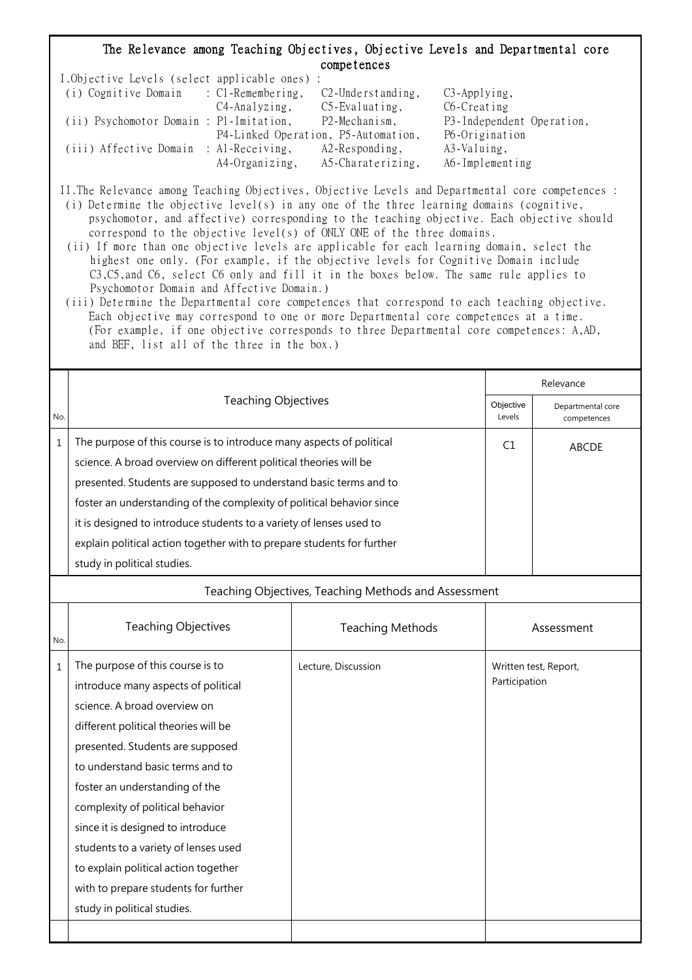## The Relevance among Teaching Objectives, Objective Levels and Departmental core competences

| I.Objective Levels (select applicable ones) : |                |                                     |                           |
|-----------------------------------------------|----------------|-------------------------------------|---------------------------|
| (i) Cognitive Domain : C1-Remembering,        |                | $C2$ -Understanding,                | $C3$ -Applying,           |
|                                               | C4-Analyzing,  | $C5$ -Evaluating,                   | C6-Creating               |
| (ii) Psychomotor Domain : P1-Imitation,       |                | P2-Mechanism,                       | P3-Independent Operation, |
|                                               |                | P4-Linked Operation, P5-Automation, | P6-Origination            |
| (iii) Affective Domain : Al-Receiving,        |                | $A2$ -Responding,                   | A3-Valuing,               |
|                                               | A4-Organizing, | A5-Charaterizing,                   | A6-Implementing           |

II.The Relevance among Teaching Objectives, Objective Levels and Departmental core competences : (i) Determine the objective level(s) in any one of the three learning domains (cognitive,

- psychomotor, and affective) corresponding to the teaching objective. Each objective should correspond to the objective level(s) of ONLY ONE of the three domains.
- (ii) If more than one objective levels are applicable for each learning domain, select the highest one only. (For example, if the objective levels for Cognitive Domain include C3,C5,and C6, select C6 only and fill it in the boxes below. The same rule applies to Psychomotor Domain and Affective Domain.)
- (iii) Determine the Departmental core competences that correspond to each teaching objective. Each objective may correspond to one or more Departmental core competences at a time. (For example, if one objective corresponds to three Departmental core competences: A,AD, and BEF, list all of the three in the box.)

|     | <b>Teaching Objectives</b><br>Objective                                                                                                                                                                                                                                                                                    |    | Relevance                        |  |  |
|-----|----------------------------------------------------------------------------------------------------------------------------------------------------------------------------------------------------------------------------------------------------------------------------------------------------------------------------|----|----------------------------------|--|--|
| No. |                                                                                                                                                                                                                                                                                                                            |    | Departmental core<br>competences |  |  |
|     | The purpose of this course is to introduce many aspects of political<br>science. A broad overview on different political theories will be                                                                                                                                                                                  | C1 | <b>ABCDE</b>                     |  |  |
|     | presented. Students are supposed to understand basic terms and to<br>foster an understanding of the complexity of political behavior since<br>it is designed to introduce students to a variety of lenses used to<br>explain political action together with to prepare students for further<br>study in political studies. |    |                                  |  |  |

## Teaching Objectives, Teaching Methods and Assessment

| No.          | <b>Teaching Objectives</b>                                                                                                                                                                                                                                                                                                                                                                                                                                                                | <b>Teaching Methods</b> | Assessment                             |
|--------------|-------------------------------------------------------------------------------------------------------------------------------------------------------------------------------------------------------------------------------------------------------------------------------------------------------------------------------------------------------------------------------------------------------------------------------------------------------------------------------------------|-------------------------|----------------------------------------|
| $\mathbf{1}$ | The purpose of this course is to<br>introduce many aspects of political<br>science. A broad overview on<br>different political theories will be<br>presented. Students are supposed<br>to understand basic terms and to<br>foster an understanding of the<br>complexity of political behavior<br>since it is designed to introduce<br>students to a variety of lenses used<br>to explain political action together<br>with to prepare students for further<br>study in political studies. | Lecture, Discussion     | Written test, Report,<br>Participation |
|              |                                                                                                                                                                                                                                                                                                                                                                                                                                                                                           |                         |                                        |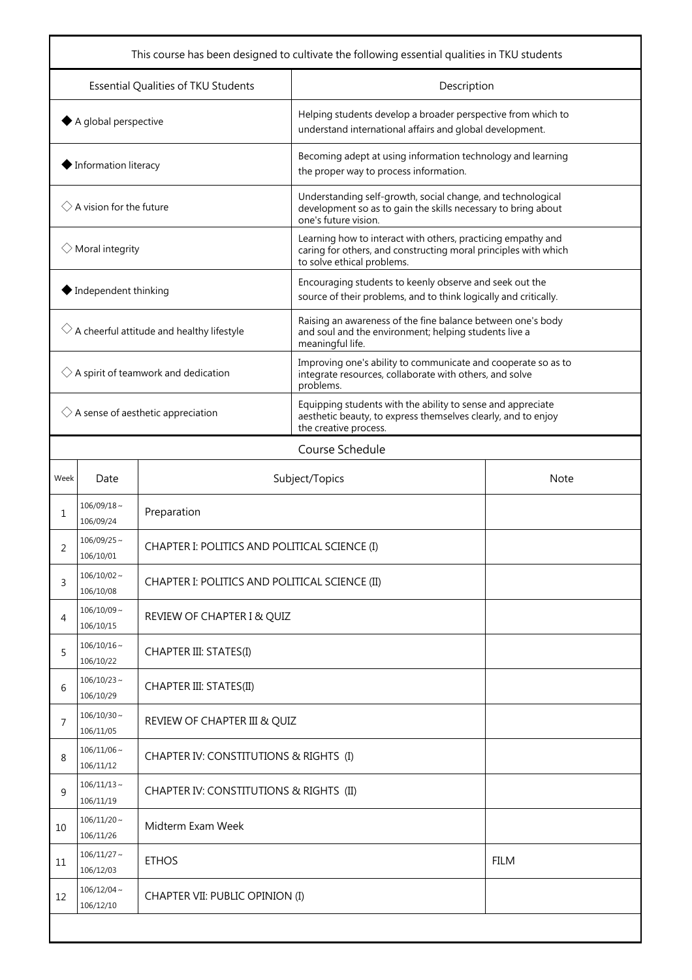| This course has been designed to cultivate the following essential qualities in TKU students |                                    |                                                |                                                                                                                                                               |  |  |
|----------------------------------------------------------------------------------------------|------------------------------------|------------------------------------------------|---------------------------------------------------------------------------------------------------------------------------------------------------------------|--|--|
| Essential Qualities of TKU Students                                                          |                                    |                                                | Description                                                                                                                                                   |  |  |
| $\blacklozenge$ A global perspective                                                         |                                    |                                                | Helping students develop a broader perspective from which to<br>understand international affairs and global development.                                      |  |  |
| $\blacklozenge$ Information literacy                                                         |                                    |                                                | Becoming adept at using information technology and learning<br>the proper way to process information.                                                         |  |  |
|                                                                                              | $\Diamond$ A vision for the future |                                                | Understanding self-growth, social change, and technological<br>development so as to gain the skills necessary to bring about<br>one's future vision.          |  |  |
|                                                                                              | $\Diamond$ Moral integrity         |                                                | Learning how to interact with others, practicing empathy and<br>caring for others, and constructing moral principles with which<br>to solve ethical problems. |  |  |
| $\blacklozenge$ Independent thinking                                                         |                                    |                                                | Encouraging students to keenly observe and seek out the<br>source of their problems, and to think logically and critically.                                   |  |  |
| $\Diamond$ A cheerful attitude and healthy lifestyle                                         |                                    |                                                | Raising an awareness of the fine balance between one's body<br>and soul and the environment; helping students live a<br>meaningful life.                      |  |  |
| $\Diamond$ A spirit of teamwork and dedication                                               |                                    |                                                | Improving one's ability to communicate and cooperate so as to<br>integrate resources, collaborate with others, and solve<br>problems.                         |  |  |
| $\Diamond$ A sense of aesthetic appreciation                                                 |                                    |                                                | Equipping students with the ability to sense and appreciate<br>aesthetic beauty, to express themselves clearly, and to enjoy<br>the creative process.         |  |  |
|                                                                                              | Course Schedule                    |                                                |                                                                                                                                                               |  |  |
| Week                                                                                         | Date                               | Subject/Topics                                 | Note                                                                                                                                                          |  |  |
| 1                                                                                            | $106/09/18 \sim$<br>106/09/24      | Preparation                                    |                                                                                                                                                               |  |  |
| 2                                                                                            | $106/09/25$ ~<br>106/10/01         | CHAPTER I: POLITICS AND POLITICAL SCIENCE (I)  |                                                                                                                                                               |  |  |
| 3                                                                                            | $106/10/02 \sim$<br>106/10/08      | CHAPTER I: POLITICS AND POLITICAL SCIENCE (II) |                                                                                                                                                               |  |  |
| 4                                                                                            | $106/10/09$ ~<br>106/10/15         | REVIEW OF CHAPTER I & QUIZ                     |                                                                                                                                                               |  |  |
| 5                                                                                            | $106/10/16 \sim$<br>106/10/22      | CHAPTER III: STATES(I)                         |                                                                                                                                                               |  |  |
| 6                                                                                            | $106/10/23$ ~<br>106/10/29         | CHAPTER III: STATES(II)                        |                                                                                                                                                               |  |  |
| 7                                                                                            | $106/10/30 \sim$<br>106/11/05      | REVIEW OF CHAPTER III & QUIZ                   |                                                                                                                                                               |  |  |
| 8                                                                                            | $106/11/06 \sim$<br>106/11/12      | CHAPTER IV: CONSTITUTIONS & RIGHTS (I)         |                                                                                                                                                               |  |  |
| 9                                                                                            | $106/11/13$ ~<br>106/11/19         | CHAPTER IV: CONSTITUTIONS & RIGHTS (II)        |                                                                                                                                                               |  |  |
| 10                                                                                           | $106/11/20$ ~<br>106/11/26         | Midterm Exam Week                              |                                                                                                                                                               |  |  |
| 11                                                                                           | $106/11/27$ ~<br>106/12/03         | <b>ETHOS</b><br><b>FILM</b>                    |                                                                                                                                                               |  |  |
| 12                                                                                           | $106/12/04$ ~<br>106/12/10         | CHAPTER VII: PUBLIC OPINION (I)                |                                                                                                                                                               |  |  |
|                                                                                              |                                    |                                                |                                                                                                                                                               |  |  |